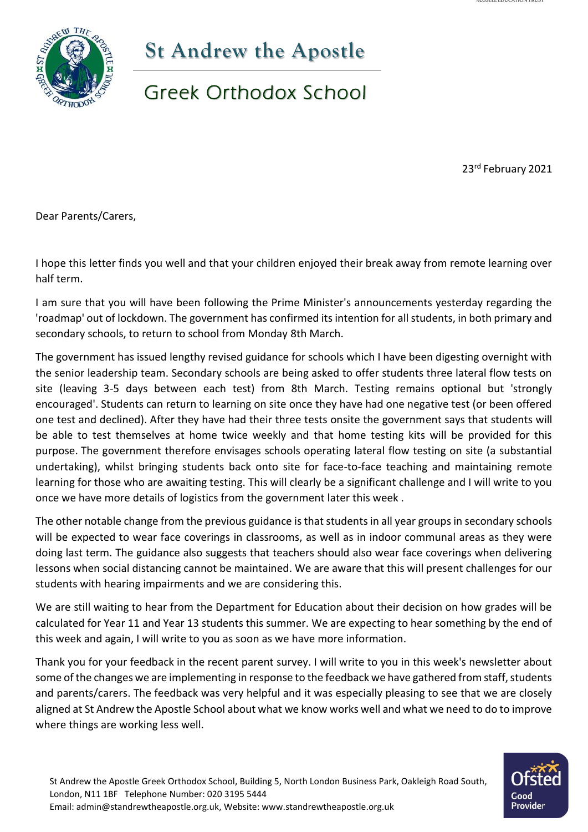

## **St Andrew the Apostle**

## Greek Orthodox School

23rd February 2021

Dear Parents/Carers,

I hope this letter finds you well and that your children enjoyed their break away from remote learning over half term.

I am sure that you will have been following the Prime Minister's announcements yesterday regarding the 'roadmap' out of lockdown. The government has confirmed its intention for all students, in both primary and secondary schools, to return to school from Monday 8th March.

The government has issued lengthy revised guidance for schools which I have been digesting overnight with the senior leadership team. Secondary schools are being asked to offer students three lateral flow tests on site (leaving 3-5 days between each test) from 8th March. Testing remains optional but 'strongly encouraged'. Students can return to learning on site once they have had one negative test (or been offered one test and declined). After they have had their three tests onsite the government says that students will be able to test themselves at home twice weekly and that home testing kits will be provided for this purpose. The government therefore envisages schools operating lateral flow testing on site (a substantial undertaking), whilst bringing students back onto site for face-to-face teaching and maintaining remote learning for those who are awaiting testing. This will clearly be a significant challenge and I will write to you once we have more details of logistics from the government later this week .

The other notable change from the previous guidance is that students in all year groups in secondary schools will be expected to wear face coverings in classrooms, as well as in indoor communal areas as they were doing last term. The guidance also suggests that teachers should also wear face coverings when delivering lessons when social distancing cannot be maintained. We are aware that this will present challenges for our students with hearing impairments and we are considering this.

We are still waiting to hear from the Department for Education about their decision on how grades will be calculated for Year 11 and Year 13 students this summer. We are expecting to hear something by the end of this week and again, I will write to you as soon as we have more information.

Thank you for your feedback in the recent parent survey. I will write to you in this week's newsletter about some of the changes we are implementing in response to the feedback we have gathered from staff, students and parents/carers. The feedback was very helpful and it was especially pleasing to see that we are closely aligned at St Andrew the Apostle School about what we know works well and what we need to do to improve where things are working less well.